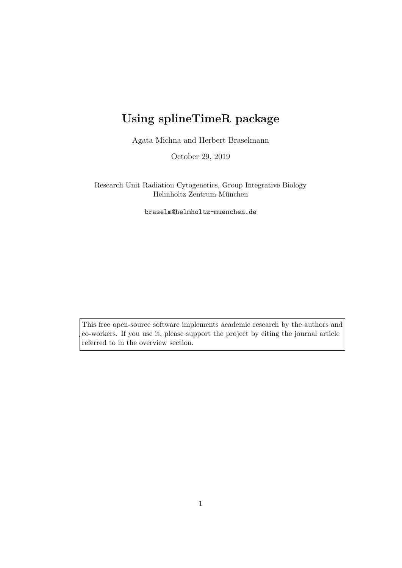# Using splineTimeR package

Agata Michna and Herbert Braselmann

October 29, 2019

Research Unit Radiation Cytogenetics, Group Integrative Biology Helmholtz Zentrum München

braselm@helmholtz-muenchen.de

This free open-source software implements academic research by the authors and co-workers. If you use it, please support the project by citing the journal article referred to in the overview section.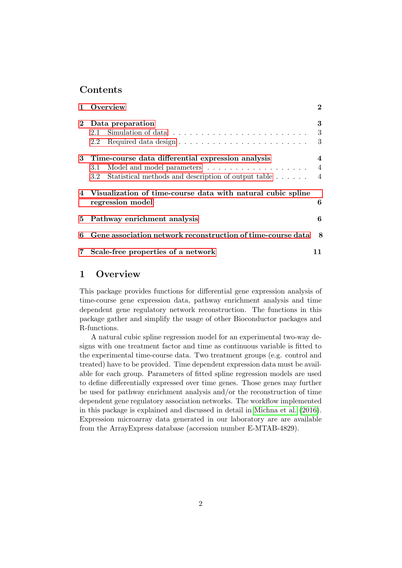### Contents

|              | Overview                                                                               |                |  |  |  |
|--------------|----------------------------------------------------------------------------------------|----------------|--|--|--|
| $\mathbf{2}$ | Data preparation                                                                       |                |  |  |  |
|              | 2.1                                                                                    | 3              |  |  |  |
|              | 2.2                                                                                    | 3              |  |  |  |
|              | 3 Time-course data differential expression analysis                                    |                |  |  |  |
|              | 3.1                                                                                    | $\overline{4}$ |  |  |  |
|              | Statistical methods and description of output table<br>3.2                             | $\overline{4}$ |  |  |  |
|              | 4 Visualization of time-course data with natural cubic spline<br>6<br>regression model |                |  |  |  |
| 5.           | Pathway enrichment analysis                                                            |                |  |  |  |
| 6            | Gene association network reconstruction of time-course data                            |                |  |  |  |
|              | 7 Scale-free properties of a network                                                   |                |  |  |  |

## <span id="page-1-0"></span>1 Overview

This package provides functions for differential gene expression analysis of time-course gene expression data, pathway enrichment analysis and time dependent gene regulatory network reconstruction. The functions in this package gather and simplify the usage of other Bioconductor packages and R-functions.

A natural cubic spline regression model for an experimental two-way designs with one treatment factor and time as continuous variable is fitted to the experimental time-course data. Two treatment groups (e.g. control and treated) have to be provided. Time dependent expression data must be available for each group. Parameters of fitted spline regression models are used to define differentially expressed over time genes. Those genes may further be used for pathway enrichment analysis and/or the reconstruction of time dependent gene regulatory association networks. The workflow implemented in this package is explained and discussed in detail in [Michna et al.](#page-13-0) [\(2016\)](#page-13-0). Expression microarray data generated in our laboratory are are available from the ArrayExpress database (accession number E-MTAB-4829).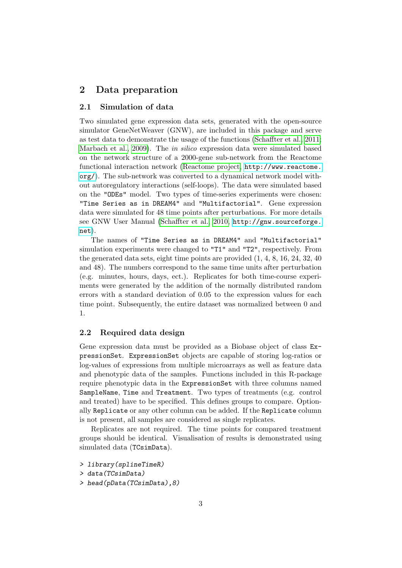### <span id="page-2-0"></span>2 Data preparation

#### <span id="page-2-1"></span>2.1 Simulation of data

Two simulated gene expression data sets, generated with the open-source simulator GeneNetWeaver (GNW), are included in this package and serve as test data to demonstrate the usage of the functions [\(Schaffter et al., 2011;](#page-13-1) [Marbach et al., 2009\)](#page-13-2). The in silico expression data were simulated based on the network structure of a 2000-gene sub-network from the Reactome functional interaction network [\(Reactome project,](#page-13-3) [http://www.reactome.](http://www.reactome.org/) [org/](http://www.reactome.org/)). The sub-network was converted to a dynamical network model without autoregulatory interactions (self-loops). The data were simulated based on the "ODEs" model. Two types of time-series experiments were chosen: "Time Series as in DREAM4" and "Multifactorial". Gene expression data were simulated for 48 time points after perturbations. For more details see GNW User Manual [\(Schaffter et al., 2010,](#page-13-4) [http://gnw.sourceforge.](http://gnw.sourceforge.net) [net](http://gnw.sourceforge.net)).

The names of "Time Series as in DREAM4" and "Multifactorial" simulation experiments were changed to "T1" and "T2", respectively. From the generated data sets, eight time points are provided (1, 4, 8, 16, 24, 32, 40 and 48). The numbers correspond to the same time units after perturbation (e.g. minutes, hours, days, ect.). Replicates for both time-course experiments were generated by the addition of the normally distributed random errors with a standard deviation of 0.05 to the expression values for each time point. Subsequently, the entire dataset was normalized between 0 and 1.

#### <span id="page-2-2"></span>2.2 Required data design

Gene expression data must be provided as a Biobase object of class ExpressionSet. ExpressionSet objects are capable of storing log-ratios or log-values of expressions from multiple microarrays as well as feature data and phenotypic data of the samples. Functions included in this R-package require phenotypic data in the ExpressionSet with three columns named SampleName, Time and Treatment. Two types of treatments (e.g. control and treated) have to be specified. This defines groups to compare. Optionally Replicate or any other column can be added. If the Replicate column is not present, all samples are considered as single replicates.

Replicates are not required. The time points for compared treatment groups should be identical. Visualisation of results is demonstrated using simulated data (TCsimData).

- > data(TCsimData)
- > head(pData(TCsimData),8)

<sup>&</sup>gt; library(splineTimeR)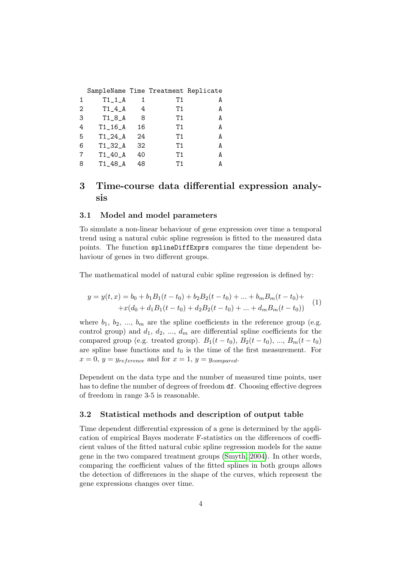|                   | SampleName Time Treatment Replicate |    |    |   |
|-------------------|-------------------------------------|----|----|---|
| 1                 | $T1_1_A$                            |    | Τ1 | A |
| $\mathcal{D}_{1}$ | $T1_4_A$                            | 4  | Τ1 | A |
| 3                 | $T1_8_A$                            | 8  | Τ1 | А |
| 4                 | $T1_16_A$                           | 16 | Τ1 | А |
| 5                 | $T1_24_A$                           | 24 | Τ1 | A |
| 6                 | $T1_32_A$                           | 32 | Τ1 | А |
|                   | $T1_40_A$                           | 40 | Τ1 | А |
| 8                 | $T1_48_A$                           | 48 | Τ1 | А |

# <span id="page-3-0"></span>3 Time-course data differential expression analysis

#### <span id="page-3-1"></span>3.1 Model and model parameters

To simulate a non-linear behaviour of gene expression over time a temporal trend using a natural cubic spline regression is fitted to the measured data points. The function splineDiffExprs compares the time dependent behaviour of genes in two different groups.

The mathematical model of natural cubic spline regression is defined by:

$$
y = y(t, x) = b_0 + b_1 B_1(t - t_0) + b_2 B_2(t - t_0) + \dots + b_m B_m(t - t_0) ++ x(d_0 + d_1 B_1(t - t_0) + d_2 B_2(t - t_0) + \dots + d_m B_m(t - t_0))
$$
 (1)

where  $b_1, b_2, ..., b_m$  are the spline coefficients in the reference group (e.g. control group) and  $d_1, d_2, ..., d_m$  are differential spline coefficients for the compared group (e.g. treated group).  $B_1(t-t_0)$ ,  $B_2(t-t_0)$ , ...,  $B_m(t-t_0)$ are spline base functions and  $t_0$  is the time of the first measurement. For  $x = 0, y = y_{reference}$  and for  $x = 1, y = y_{compared}$ .

Dependent on the data type and the number of measured time points, user has to define the number of degrees of freedom  $df$ . Choosing effective degrees of freedom in range 3-5 is reasonable.

#### <span id="page-3-2"></span>3.2 Statistical methods and description of output table

Time dependent differential expression of a gene is determined by the application of empirical Bayes moderate F-statistics on the differences of coefficient values of the fitted natural cubic spline regression models for the same gene in the two compared treatment groups [\(Smyth, 2004\)](#page-13-5). In other words, comparing the coefficient values of the fitted splines in both groups allows the detection of differences in the shape of the curves, which represent the gene expressions changes over time.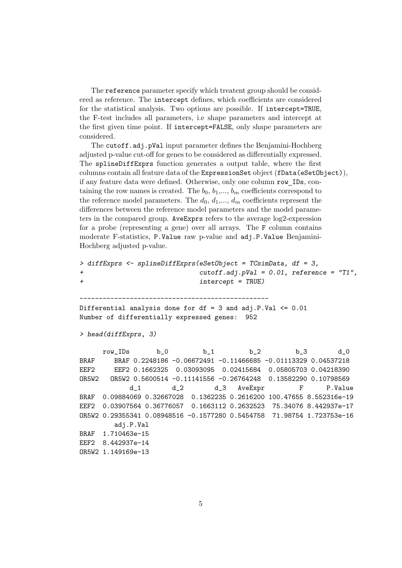The reference parameter specify which treatent group should be considered as reference. The intercept defines, which coefficients are considered for the statistical analysis. Two options are possible. If intercept=TRUE, the F-test includes all parameters, i.e shape parameters and intercept at the first given time point. If intercept=FALSE, only shape parameters are considered.

The cutoff.adj.pVal input parameter defines the Benjamini-Hochberg adjusted p-value cut-off for genes to be considered as differentially expressed. The splineDiffExprs function generates a output table, where the first columns contain all feature data of the ExpressionSet object (fData(eSetObject)), if any feature data were defined. Otherwise, only one column row IDs, containing the row names is created. The  $b_0$ ,  $b_1, ..., b_m$  coefficients correspond to the reference model parameters. The  $d_0, d_1, ..., d_m$  coefficients represent the differences between the reference model parameters and the model parameters in the compared group. AveExprs refers to the average log2-expression for a probe (representing a gene) over all arrays. The F column contains moderate F-statistics, P.Value raw p-value and adj.P.Value Benjamini-Hochberg adjusted p-value.

```
> diffExprs <- splineDiffExprs(eSetObject = TCsimData, df = 3,
+ cutoff.adj.pVal = 0.01, reference = "T1",
+ intercept = TRUE)
-------------------------------------------------
Differential analysis done for df = 3 and adj.P.Val \leq 0.01Number of differentially expressed genes: 952
> head(diffExprs, 3)
     row_IDs b_0 b_1 b_2 b_3 d_0
BRAF BRAF 0.2248186 -0.06672491 -0.11466685 -0.01113329 0.04537218
EEF2 EEF2 0.1662325 0.03093095 0.02415684 0.05805703 0.04218390
OR5W2 OR5W2 0.5600514 -0.11141556 -0.26764248 0.13582290 0.10798569
           d_1 d_2 d_3 AveExpr F P.Value
BRAF 0.09884069 0.32667028 0.1362235 0.2616200 100.47655 8.552316e-19
EEF2 0.03907564 0.36776057 0.1663112 0.2632523 75.34076 8.442937e-17
OR5W2 0.29355341 0.08948516 -0.1577280 0.5454758 71.98754 1.723753e-16
       adj.P.Val
BRAF 1.710463e-15
EEF2 8.442937e-14
OR5W2 1.149169e-13
```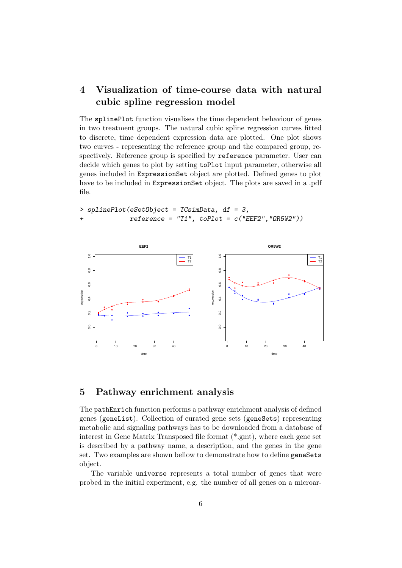# <span id="page-5-0"></span>4 Visualization of time-course data with natural cubic spline regression model

The splinePlot function visualises the time dependent behaviour of genes in two treatment groups. The natural cubic spline regression curves fitted to discrete, time dependent expression data are plotted. One plot shows two curves - representing the reference group and the compared group, respectively. Reference group is specified by reference parameter. User can decide which genes to plot by setting toPlot input parameter, otherwise all genes included in ExpressionSet object are plotted. Defined genes to plot have to be included in ExpressionSet object. The plots are saved in a .pdf file.

```
> splinePlot(eSetObject = TCsimData, df = 3,
+ reference = "T1", toPlot = c("EEF2","OR5W2"))
```


### <span id="page-5-1"></span>5 Pathway enrichment analysis

The pathEnrich function performs a pathway enrichment analysis of defined genes (geneList). Collection of curated gene sets (geneSets) representing metabolic and signaling pathways has to be downloaded from a database of interest in Gene Matrix Transposed file format (\*.gmt), where each gene set is described by a pathway name, a description, and the genes in the gene set. Two examples are shown bellow to demonstrate how to define geneSets object.

The variable universe represents a total number of genes that were probed in the initial experiment, e.g. the number of all genes on a microar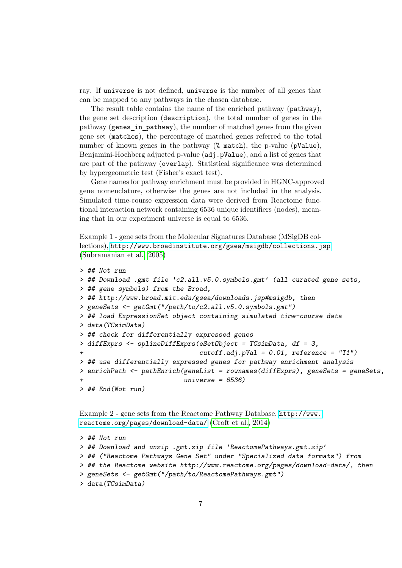ray. If universe is not defined, universe is the number of all genes that can be mapped to any pathways in the chosen database.

The result table contains the name of the enriched pathway (pathway), the gene set description (description), the total number of genes in the pathway (genes in pathway), the number of matched genes from the given gene set (matches), the percentage of matched genes referred to the total number of known genes in the pathway (% match), the p-value (pValue), Benjamini-Hochberg adjucted p-value (adj.pValue), and a list of genes that are part of the pathway (overlap). Statistical significance was determined by hypergeometric test (Fisher's exact test).

Gene names for pathway enrichment must be provided in HGNC-approved gene nomenclature, otherwise the genes are not included in the analysis. Simulated time-course expression data were derived from Reactome functional interaction network containing 6536 unique identifiers (nodes), meaning that in our experiment universe is equal to 6536.

Example 1 - gene sets from the Molecular Signatures Database (MSigDB collections), <http://www.broadinstitute.org/gsea/msigdb/collections.jsp> [\(Subramanian et al., 2005\)](#page-13-6)

```
> ## Not run
> ## Download .gmt file 'c2.all.v5.0.symbols.gmt' (all curated gene sets,
> ## gene symbols) from the Broad,
> ## http://www.broad.mit.edu/gsea/downloads.jsp#msigdb, then
> geneSets <- getGmt("/path/to/c2.all.v5.0.symbols.gmt")
> ## load ExpressionSet object containing simulated time-course data
> data(TCsimData)
> ## check for differentially expressed genes
> diffExprs <- splineDiffExprs(eSetObject = TCsimData, df = 3,
+ cutoff.adj.pVal = 0.01, reference = "T1")
> ## use differentially expressed genes for pathway enrichment analysis
> enrichPath <- pathEnrich(geneList = rownames(diffExprs), geneSets = geneSets,
                          universe = 6536)
> ## End(Not run)
```
Example 2 - gene sets from the Reactome Pathway Database, [http://www.](http://www.reactome.org/pages/download-data/) [reactome.org/pages/download-data/](http://www.reactome.org/pages/download-data/) [\(Croft et al., 2014\)](#page-12-0)

```
> ## Not run
> ## Download and unzip .gmt.zip file 'ReactomePathways.gmt.zip'
> ## ("Reactome Pathways Gene Set" under "Specialized data formats") from
> ## the Reactome website http://www.reactome.org/pages/download-data/, then
> geneSets <- getGmt("/path/to/ReactomePathways.gmt")
> data(TCsimData)
```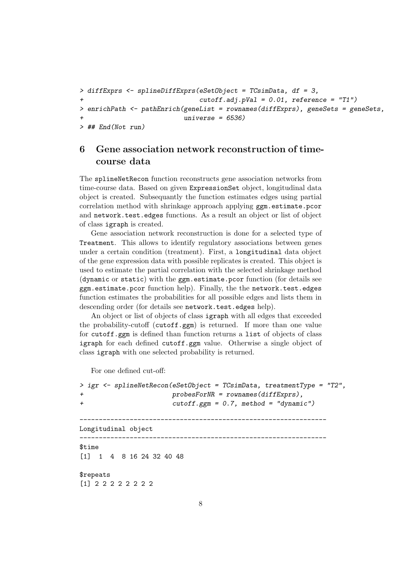```
> diffExprs <- splineDiffExprs(eSetObject = TCsimData, df = 3,
+ cutoff.adj.pVal = 0.01, reference = "T1")
> enrichPath <- pathEnrich(geneList = rownames(diffExprs), geneSets = geneSets,
                        universe = 6536)> ## End(Not run)
```
# <span id="page-7-0"></span>6 Gene association network reconstruction of timecourse data

The splineNetRecon function reconstructs gene association networks from time-course data. Based on given ExpressionSet object, longitudinal data object is created. Subsequantly the function estimates edges using partial correlation method with shrinkage approach applying  $ggm.$ estimate.pcor and network.test.edges functions. As a result an object or list of object of class igraph is created.

Gene association network reconstruction is done for a selected type of Treatment. This allows to identify regulatory associations between genes under a certain condition (treatment). First, a longitudinal data object of the gene expression data with possible replicates is created. This object is used to estimate the partial correlation with the selected shrinkage method (dynamic or static) with the ggm.estimate.pcor function (for details see ggm.estimate.pcor function help). Finally, the the network.test.edges function estimates the probabilities for all possible edges and lists them in descending order (for details see network.test.edges help).

An object or list of objects of class igraph with all edges that exceeded the probability-cutoff (cutoff.ggm) is returned. If more than one value for cutoff.ggm is defined than function returns a list of objects of class igraph for each defined cutoff.ggm value. Otherwise a single object of class igraph with one selected probability is returned.

For one defined cut-off:

```
> igr <- splineNetRecon(eSetObject = TCsimData, treatmentType = "T2",
+ probesForNR = rownames(diffExprs),
+ cutoff.ggm = 0.7, method = "dynamic")
----------------------------------------------------------------
Longitudinal object
                        ----------------------------------------------------------------
$time
[1] 1 4 8 16 24 32 40 48
$repeats
[1] 2 2 2 2 2 2 2 2
```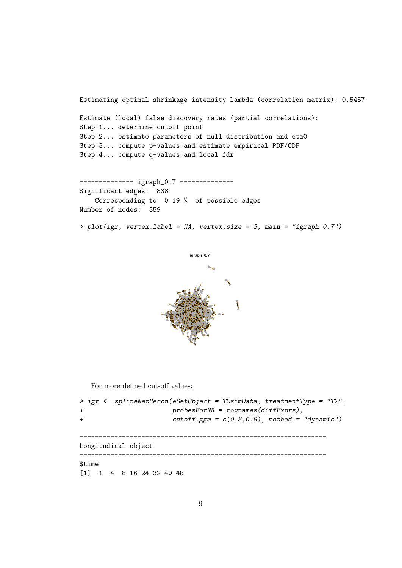Estimating optimal shrinkage intensity lambda (correlation matrix): 0.5457 Estimate (local) false discovery rates (partial correlations): Step 1... determine cutoff point Step 2... estimate parameters of null distribution and eta0 Step 3... compute p-values and estimate empirical PDF/CDF Step 4... compute q-values and local fdr ------------- igraph\_0.7 --------------

Significant edges: 838 Corresponding to 0.19 % of possible edges Number of nodes: 359

> plot(igr, vertex.label = NA, vertex.size = 3, main = "igraph\_0.7")



For more defined cut-off values:

```
> igr <- splineNetRecon(eSetObject = TCsimData, treatmentType = "T2",
+ probesForNR = rownames(diffExprs),
+ cutoff.ggm = c(0.8,0.9), method = "dynamic")
  ----------------------------------------------------------------
Longitudinal object
----------------------------------------------------------------
$time
[1] 1 4 8 16 24 32 40 48
```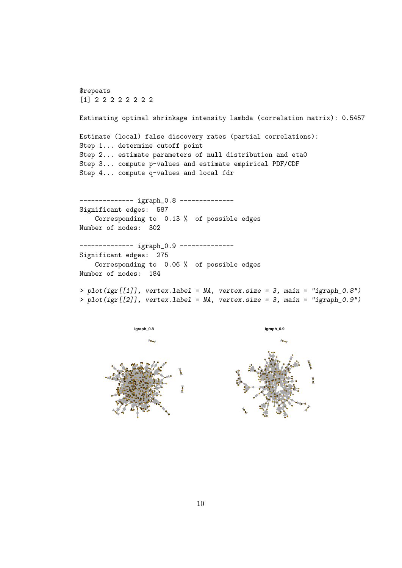\$repeats [1] 2 2 2 2 2 2 2 2 Estimating optimal shrinkage intensity lambda (correlation matrix): 0.5457 Estimate (local) false discovery rates (partial correlations): Step 1... determine cutoff point Step 2... estimate parameters of null distribution and eta0 Step 3... compute p-values and estimate empirical PDF/CDF Step 4... compute q-values and local fdr -------------- igraph\_0.8 --------------Significant edges: 587 Corresponding to 0.13 % of possible edges Number of nodes: 302 -------------- igraph\_0.9 --------------Significant edges: 275 Corresponding to 0.06 % of possible edges Number of nodes: 184 > plot(igr[[1]], vertex.label = NA, vertex.size = 3, main = "igraph\_0.8") > plot(igr[[2]], vertex.label = NA, vertex.size = 3, main = "igraph\_0.9")



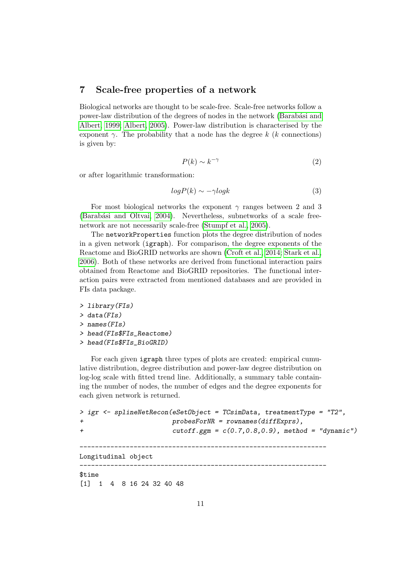### <span id="page-10-0"></span>7 Scale-free properties of a network

Biological networks are thought to be scale-free. Scale-free networks follow a power-law distribution of the degrees of nodes in the network (Barabási and [Albert, 1999;](#page-12-1) [Albert, 2005\)](#page-12-2). Power-law distribution is characterised by the exponent  $\gamma$ . The probability that a node has the degree k (k connections) is given by:

$$
P(k) \sim k^{-\gamma} \tag{2}
$$

or after logarithmic transformation:

$$
log P(k) \sim -\gamma log k \tag{3}
$$

For most biological networks the exponent  $\gamma$  ranges between 2 and 3 (Barabási and Oltvai, 2004). Nevertheless, subnetworks of a scale freenetwork are not necessarily scale-free [\(Stumpf et al., 2005\)](#page-13-7).

The networkProperties function plots the degree distribution of nodes in a given network (igraph). For comparison, the degree exponents of the Reactome and BioGRID networks are shown [\(Croft et al., 2014;](#page-12-0) [Stark et al.,](#page-13-8) [2006\)](#page-13-8). Both of these networks are derived from functional interaction pairs obtained from Reactome and BioGRID repositories. The functional interaction pairs were extracted from mentioned databases and are provided in FIs data package.

- > library(FIs)
- > data(FIs)
- > names(FIs)
- > head(FIs\$FIs\_Reactome)
- > head(FIs\$FIs\_BioGRID)

For each given igraph three types of plots are created: empirical cumulative distribution, degree distribution and power-law degree distribution on log-log scale with fitted trend line. Additionally, a summary table containing the number of nodes, the number of edges and the degree exponents for each given network is returned.

```
> igr <- splineNetRecon(eSetObject = TCsimData, treatmentType = "T2",
+ probesForNR = rownames(diffExprs),
+ cutoff.ggm = c(0.7,0.8,0.9), method = "dynamic")
                   ----------------------------------------------------------------
Longitudinal object
----------------------------------------------------------------
$time
[1] 1 4 8 16 24 32 40 48
```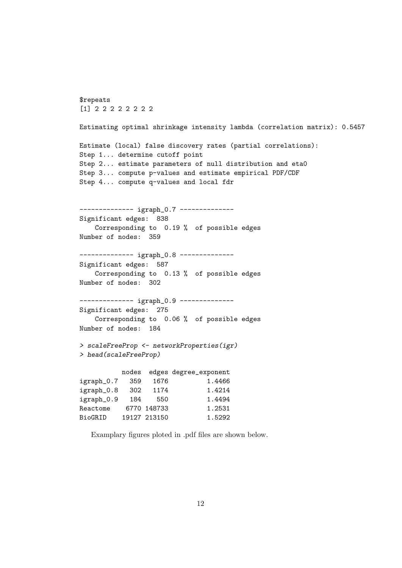```
$repeats
[1] 2 2 2 2 2 2 2 2
Estimating optimal shrinkage intensity lambda (correlation matrix): 0.5457
Estimate (local) false discovery rates (partial correlations):
Step 1... determine cutoff point
Step 2... estimate parameters of null distribution and eta0
Step 3... compute p-values and estimate empirical PDF/CDF
Step 4... compute q-values and local fdr
-------------- igraph_0.7 --------------
Significant edges: 838
   Corresponding to 0.19 % of possible edges
Number of nodes: 359
-------------- igraph_0.8 --------------
Significant edges: 587
   Corresponding to 0.13 % of possible edges
Number of nodes: 302
------------- igraph_0.9 --------------
Significant edges: 275
   Corresponding to 0.06 % of possible edges
Number of nodes: 184
> scaleFreeProp <- networkProperties(igr)
> head(scaleFreeProp)
          nodes edges degree_exponent
igraph<sub>-0.7</sub> 359 1676 1.4466
igraph_0.8 302 1174 1.4214
igraph_0.9 184 550 1.4494
Reactome 6770 148733 1.2531
BioGRID 19127 213150 1.5292
```
Examplary figures ploted in .pdf files are shown below.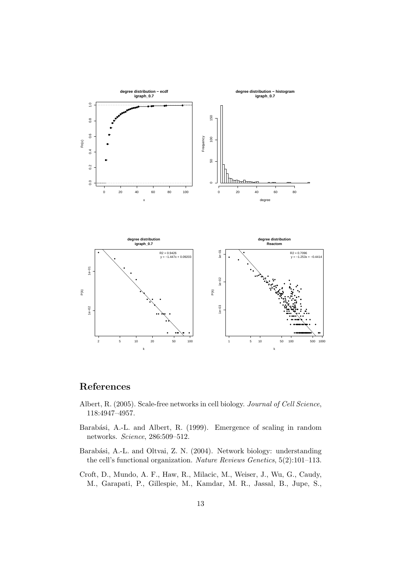

# References

- <span id="page-12-2"></span>Albert, R. (2005). Scale-free networks in cell biology. Journal of Cell Science, 118:4947–4957.
- <span id="page-12-1"></span>Barabási, A.-L. and Albert, R. (1999). Emergence of scaling in random networks. Science, 286:509–512.
- <span id="page-12-3"></span>Barabási, A.-L. and Oltvai, Z. N. (2004). Network biology: understanding the cell's functional organization. Nature Reviews Genetics, 5(2):101–113.
- <span id="page-12-0"></span>Croft, D., Mundo, A. F., Haw, R., Milacic, M., Weiser, J., Wu, G., Caudy, M., Garapati, P., Gillespie, M., Kamdar, M. R., Jassal, B., Jupe, S.,